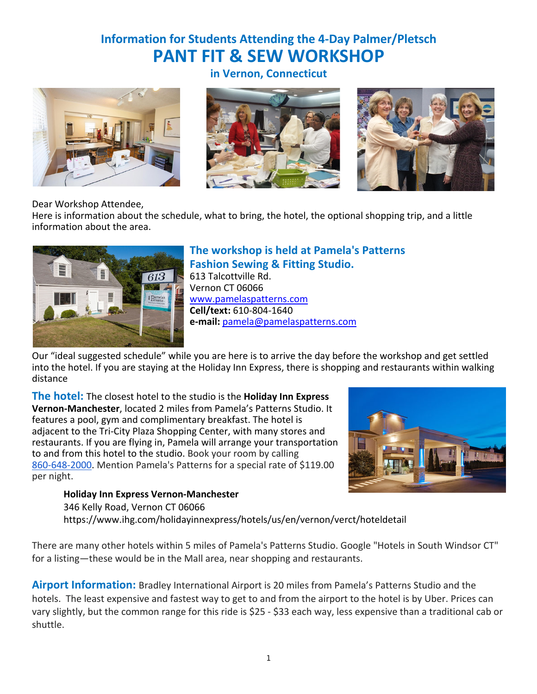# **Information for Students Attending the 4-Day Palmer/Pletsch PANT FIT & SEW WORKSHOP**



**in Vernon, Connecticut**





Dear Workshop Attendee,

Here is information about the schedule, what to bring, the hotel, the optional shopping trip, and a little information about the area.



# **The workshop is held at Pamela's Patterns Fashion Sewing & Fitting Studio.**

613 Talcottville Rd. Vernon CT 06066 www.pamelaspatterns.com **Cell/text:** 610-804-1640 **e-mail:** pamela@pamelaspatterns.com

Our "ideal suggested schedule" while you are here is to arrive the day before the workshop and get settled into the hotel. If you are staying at the Holiday Inn Express, there is shopping and restaurants within walking distance

**The hotel:** The closest hotel to the studio is the **Holiday Inn Express Vernon-Manchester**, located 2 miles from Pamela's Patterns Studio. It features a pool, gym and complimentary breakfast. The hotel is adjacent to the Tri-City Plaza Shopping Center, with many stores and restaurants. If you are flying in, Pamela will arrange your transportation to and from this hotel to the studio. Book your room by calling 860-648-2000. Mention Pamela's Patterns for a special rate of \$119.00 per night.



**Holiday Inn Express Vernon-Manchester** 346 Kelly Road, Vernon CT 06066

https://www.ihg.com/holidayinnexpress/hotels/us/en/vernon/verct/hoteldetail

There are many other hotels within 5 miles of Pamela's Patterns Studio. Google "Hotels in South Windsor CT" for a listing—these would be in the Mall area, near shopping and restaurants.

**Airport Information:** Bradley International Airport is 20 miles from Pamela's Patterns Studio and the hotels. The least expensive and fastest way to get to and from the airport to the hotel is by Uber. Prices can vary slightly, but the common range for this ride is \$25 - \$33 each way, less expensive than a traditional cab or shuttle.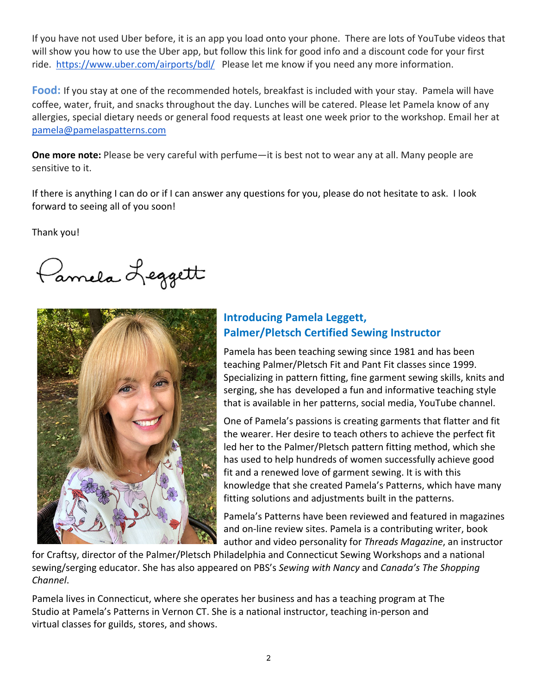If you have not used Uber before, it is an app you load onto your phone. There are lots of YouTube videos that will show you how to use the Uber app, but follow this link for good info and a discount code for your first ride. https://www.uber.com/airports/bdl/ Please let me know if you need any more information.

**Food:** If you stay at one of the recommended hotels, breakfast is included with your stay. Pamela will have coffee, water, fruit, and snacks throughout the day. Lunches will be catered. Please let Pamela know of any allergies, special dietary needs or general food requests at least one week prior to the workshop. Email her at pamela@pamelaspatterns.com

**One more note:** Please be very careful with perfume—it is best not to wear any at all. Many people are sensitive to it.

If there is anything I can do or if I can answer any questions for you, please do not hesitate to ask. I look forward to seeing all of you soon!

Thank you!

Pannela Leggett



# **Introducing Pamela Leggett, Palmer/Pletsch Certified Sewing Instructor**

Pamela has been teaching sewing since 1981 and has been teaching Palmer/Pletsch Fit and Pant Fit classes since 1999. Specializing in pattern fitting, fine garment sewing skills, knits and serging, she has developed a fun and informative teaching style that is available in her patterns, social media, YouTube channel.

One of Pamela's passions is creating garments that flatter and fit the wearer. Her desire to teach others to achieve the perfect fit led her to the Palmer/Pletsch pattern fitting method, which she has used to help hundreds of women successfully achieve good fit and a renewed love of garment sewing. It is with this knowledge that she created Pamela's Patterns, which have many fitting solutions and adjustments built in the patterns.

Pamela's Patterns have been reviewed and featured in magazines and on-line review sites. Pamela is a contributing writer, book author and video personality for *Threads Magazine*, an instructor

for Craftsy, director of the Palmer/Pletsch Philadelphia and Connecticut Sewing Workshops and a national sewing/serging educator. She has also appeared on PBS's *Sewing with Nancy* and *Canada's The Shopping Channel*.

Pamela lives in Connecticut, where she operates her business and has a teaching program at The Studio at Pamela's Patterns in Vernon CT. She is a national instructor, teaching in-person and virtual classes for guilds, stores, and shows.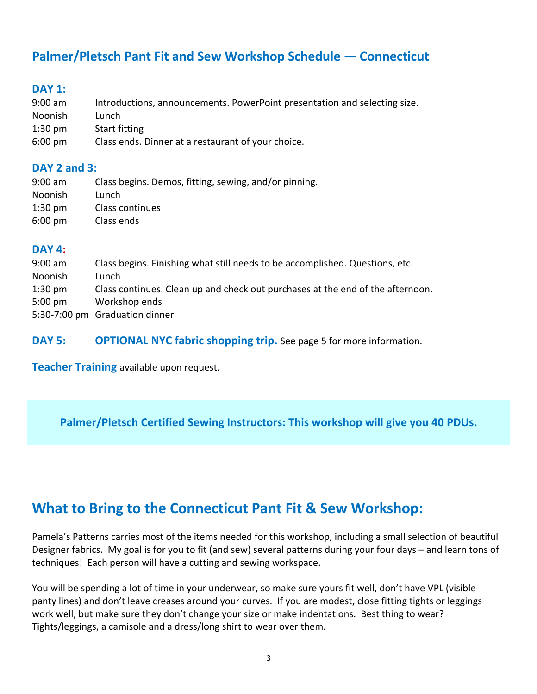# **Palmer/Pletsch Pant Fit and Sew Workshop Schedule — Connecticut**

### **DAY 1:**

| 9:00 am           | Introductions, announcements. PowerPoint presentation and selecting size. |
|-------------------|---------------------------------------------------------------------------|
| Noonish           | Lunch                                                                     |
| $1:30$ pm         | Start fitting                                                             |
| $6:00 \text{ pm}$ | Class ends. Dinner at a restaurant of your choice.                        |

### **DAY 2 and 3:**

| $9:00$ am         | Class begins. Demos, fitting, sewing, and/or pinning. |
|-------------------|-------------------------------------------------------|
| <b>Noonish</b>    | Lunch                                                 |
| $1:30$ pm         | Class continues                                       |
| $6:00 \text{ pm}$ | Class ends                                            |

### **DAY 4:**

| $9:00$ am         | Class begins. Finishing what still needs to be accomplished. Questions, etc.   |
|-------------------|--------------------------------------------------------------------------------|
| Noonish           | Lunch                                                                          |
| $1:30$ pm         | Class continues. Clean up and check out purchases at the end of the afternoon. |
| $5:00 \text{ pm}$ | Workshop ends                                                                  |
|                   | 5:30-7:00 pm Graduation dinner                                                 |

**DAY 5: OPTIONAL NYC fabric shopping trip.** See page 5 for more information.

**Teacher Training** available upon request.

**Palmer/Pletsch Certified Sewing Instructors: This workshop will give you 40 PDUs.**

# **What to Bring to the Connecticut Pant Fit & Sew Workshop:**

Pamela's Patterns carries most of the items needed for this workshop, including a small selection of beautiful Designer fabrics. My goal is for you to fit (and sew) several patterns during your four days – and learn tons of techniques! Each person will have a cutting and sewing workspace.

You will be spending a lot of time in your underwear, so make sure yours fit well, don't have VPL (visible panty lines) and don't leave creases around your curves. If you are modest, close fitting tights or leggings work well, but make sure they don't change your size or make indentations. Best thing to wear? Tights/leggings, a camisole and a dress/long shirt to wear over them.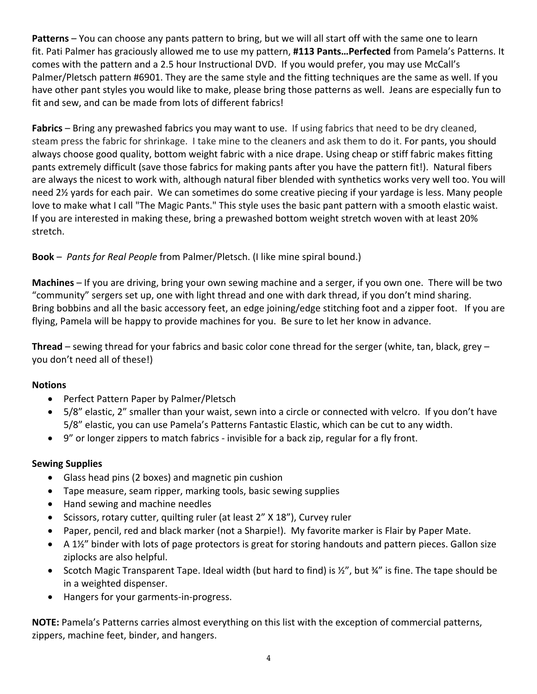**Patterns** – You can choose any pants pattern to bring, but we will all start off with the same one to learn fit. Pati Palmer has graciously allowed me to use my pattern, **#113 Pants…Perfected** from Pamela's Patterns. It comes with the pattern and a 2.5 hour Instructional DVD. If you would prefer, you may use McCall's Palmer/Pletsch pattern #6901. They are the same style and the fitting techniques are the same as well. If you have other pant styles you would like to make, please bring those patterns as well. Jeans are especially fun to fit and sew, and can be made from lots of different fabrics!

**Fabrics** – Bring any prewashed fabrics you may want to use. If using fabrics that need to be dry cleaned, steam press the fabric for shrinkage. I take mine to the cleaners and ask them to do it. For pants, you should always choose good quality, bottom weight fabric with a nice drape. Using cheap or stiff fabric makes fitting pants extremely difficult (save those fabrics for making pants after you have the pattern fit!). Natural fibers are always the nicest to work with, although natural fiber blended with synthetics works very well too. You will need 2½ yards for each pair. We can sometimes do some creative piecing if your yardage is less. Many people love to make what I call "The Magic Pants." This style uses the basic pant pattern with a smooth elastic waist. If you are interested in making these, bring a prewashed bottom weight stretch woven with at least 20% stretch.

## **Book** – *Pants for Real People* from Palmer/Pletsch. (I like mine spiral bound.)

**Machines** – If you are driving, bring your own sewing machine and a serger, if you own one. There will be two "community" sergers set up, one with light thread and one with dark thread, if you don't mind sharing. Bring bobbins and all the basic accessory feet, an edge joining/edge stitching foot and a zipper foot. If you are flying, Pamela will be happy to provide machines for you. Be sure to let her know in advance.

**Thread** – sewing thread for your fabrics and basic color cone thread for the serger (white, tan, black, grey – you don't need all of these!)

#### **Notions**

- Perfect Pattern Paper by Palmer/Pletsch
- 5/8" elastic, 2" smaller than your waist, sewn into a circle or connected with velcro. If you don't have 5/8" elastic, you can use Pamela's Patterns Fantastic Elastic, which can be cut to any width.
- 9" or longer zippers to match fabrics invisible for a back zip, regular for a fly front.

#### **Sewing Supplies**

- Glass head pins (2 boxes) and magnetic pin cushion
- Tape measure, seam ripper, marking tools, basic sewing supplies
- Hand sewing and machine needles
- Scissors, rotary cutter, quilting ruler (at least 2" X 18"), Curvey ruler
- Paper, pencil, red and black marker (not a Sharpie!). My favorite marker is Flair by Paper Mate.
- A 1½" binder with lots of page protectors is great for storing handouts and pattern pieces. Gallon size ziplocks are also helpful.
- Scotch Magic Transparent Tape. Ideal width (but hard to find) is ½", but ¾" is fine. The tape should be in a weighted dispenser.
- Hangers for your garments-in-progress.

**NOTE:** Pamela's Patterns carries almost everything on this list with the exception of commercial patterns, zippers, machine feet, binder, and hangers.